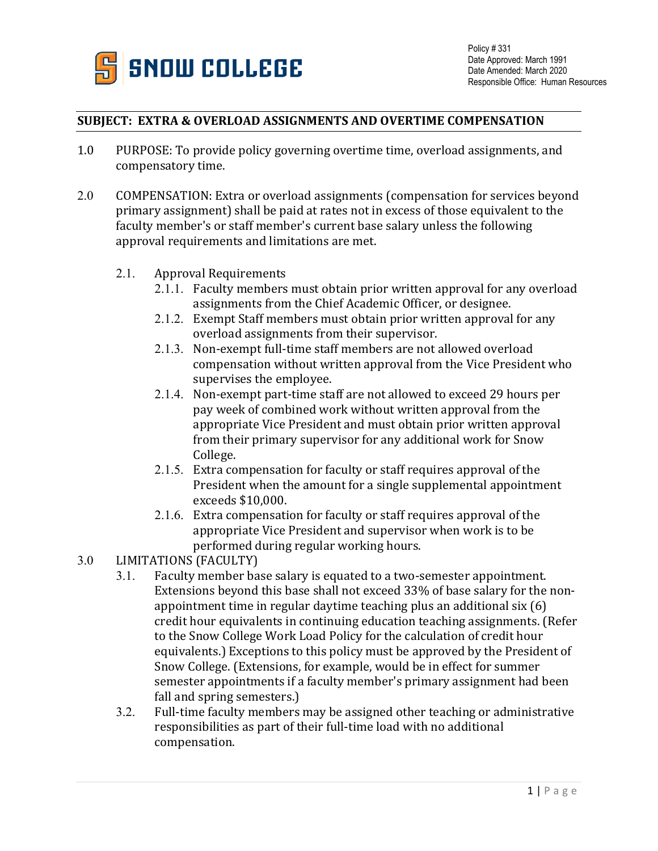

## **SUBJECT: EXTRA & OVERLOAD ASSIGNMENTS AND OVERTIME COMPENSATION**

- 1.0 PURPOSE: To provide policy governing overtime time, overload assignments, and compensatory time.
- 2.0 COMPENSATION: Extra or overload assignments (compensation for services beyond primary assignment) shall be paid at rates not in excess of those equivalent to the faculty member's or staff member's current base salary unless the following approval requirements and limitations are met.
	- 2.1. Approval Requirements
		- 2.1.1. Faculty members must obtain prior written approval for any overload assignments from the Chief Academic Officer, or designee.
		- 2.1.2. Exempt Staff members must obtain prior written approval for any overload assignments from their supervisor.
		- 2.1.3. Non-exempt full-time staff members are not allowed overload compensation without written approval from the Vice President who supervises the employee.
		- 2.1.4. Non-exempt part-time staff are not allowed to exceed 29 hours per pay week of combined work without written approval from the appropriate Vice President and must obtain prior written approval from their primary supervisor for any additional work for Snow College.
		- 2.1.5. Extra compensation for faculty or staff requires approval of the President when the amount for a single supplemental appointment exceeds \$10,000.
		- 2.1.6. Extra compensation for faculty or staff requires approval of the appropriate Vice President and supervisor when work is to be performed during regular working hours.
- 3.0 LIMITATIONS (FACULTY)<br>3.1. Faculty member ba
	- Faculty member base salary is equated to a two-semester appointment. Extensions beyond this base shall not exceed 33% of base salary for the nonappointment time in regular daytime teaching plus an additional six (6) credit hour equivalents in continuing education teaching assignments. (Refer to the Snow College Work Load Policy for the calculation of credit hour equivalents.) Exceptions to this policy must be approved by the President of Snow College. (Extensions, for example, would be in effect for summer semester appointments if a faculty member's primary assignment had been fall and spring semesters.)
	- 3.2. Full-time faculty members may be assigned other teaching or administrative responsibilities as part of their full-time load with no additional compensation.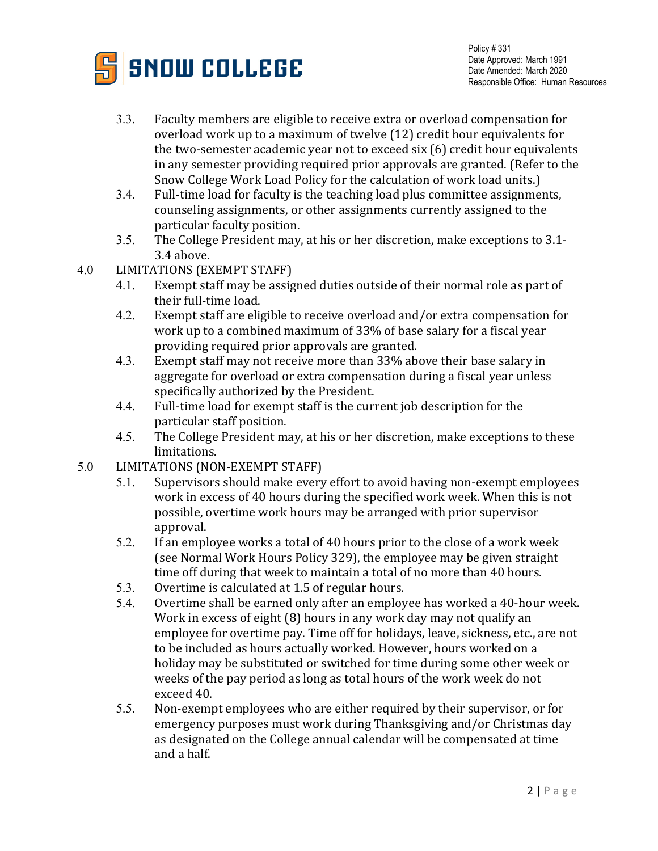

- 3.3. Faculty members are eligible to receive extra or overload compensation for overload work up to a maximum of twelve (12) credit hour equivalents for the two-semester academic year not to exceed six (6) credit hour equivalents in any semester providing required prior approvals are granted. (Refer to the Snow College Work Load Policy for the calculation of work load units.)
- 3.4. Full-time load for faculty is the teaching load plus committee assignments, counseling assignments, or other assignments currently assigned to the particular faculty position.
- 3.5. The College President may, at his or her discretion, make exceptions to 3.1- 3.4 above.
- 4.0 LIMITATIONS (EXEMPT STAFF)<br>4.1. Exempt staff may be assig
	- Exempt staff may be assigned duties outside of their normal role as part of their full-time load.
	- 4.2. Exempt staff are eligible to receive overload and/or extra compensation for work up to a combined maximum of 33% of base salary for a fiscal year providing required prior approvals are granted.
	- 4.3. Exempt staff may not receive more than 33% above their base salary in aggregate for overload or extra compensation during a fiscal year unless specifically authorized by the President.
	- 4.4. Full-time load for exempt staff is the current job description for the particular staff position.
	- 4.5. The College President may, at his or her discretion, make exceptions to these limitations.
- 5.0 LIMITATIONS (NON-EXEMPT STAFF)<br>5.1. Supervisors should make every
	- Supervisors should make every effort to avoid having non-exempt employees work in excess of 40 hours during the specified work week. When this is not possible, overtime work hours may be arranged with prior supervisor approval.
	- 5.2. If an employee works a total of 40 hours prior to the close of a work week (see Normal Work Hours Policy 329), the employee may be given straight time off during that week to maintain a total of no more than 40 hours.
	- 5.3. Overtime is calculated at 1.5 of regular hours.<br>5.4. Overtime shall be earned only after an employ
	- Overtime shall be earned only after an employee has worked a 40-hour week. Work in excess of eight (8) hours in any work day may not qualify an employee for overtime pay. Time off for holidays, leave, sickness, etc., are not to be included as hours actually worked. However, hours worked on a holiday may be substituted or switched for time during some other week or weeks of the pay period as long as total hours of the work week do not exceed 40.
	- 5.5. Non-exempt employees who are either required by their supervisor, or for emergency purposes must work during Thanksgiving and/or Christmas day as designated on the College annual calendar will be compensated at time and a half.